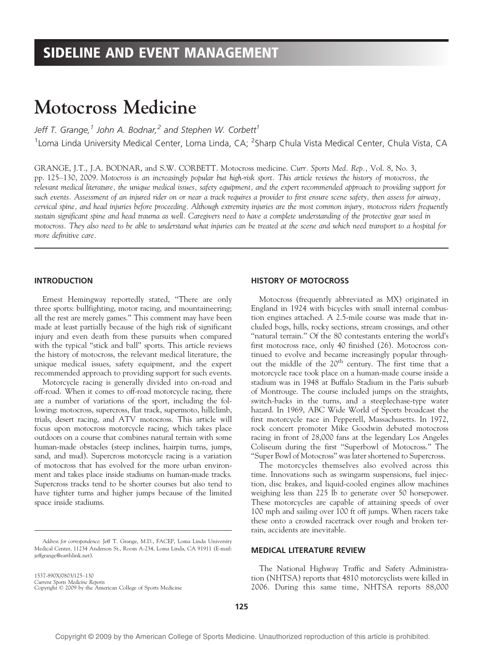# Motocross Medicine

Jeff T. Grange, $^1$  John A. Bodnar, $^2$  and Stephen W. Corbett<sup>1</sup>

<sup>1</sup> Loma Linda University Medical Center, Loma Linda, CA; <sup>2</sup> Sharp Chula Vista Medical Center, Chula Vista, CA

GRANGE, J.T., J.A. BODNAR, and S.W. CORBETT. Motocross medicine. Curr. Sports Med. Rep., Vol. 8, No. 3, pp. 125–130, 2009. Motocross is an increasingly popular but high-risk sport. This article reviews the history of motocross, the relevant medical literature, the unique medical issues, safety equipment, and the expert recommended approach to providing support for such events. Assessment of an injured rider on or near a track requires a provider to first ensure scene safety, then assess for airway, cervical spine, and head injuries before proceeding. Although extremity injuries are the most common injury, motocross riders frequently sustain significant spine and head trauma as well. Caregivers need to have a complete understanding of the protective gear used in motocross. They also need to be able to understand what injuries can be treated at the scene and which need transport to a hospital for more definitive care.

# INTRODUCTION

Ernest Hemingway reportedly stated, ''There are only three sports: bullfighting, motor racing, and mountaineering; all the rest are merely games.'' This comment may have been made at least partially because of the high risk of significant injury and even death from these pursuits when compared with the typical ''stick and ball'' sports. This article reviews the history of motocross, the relevant medical literature, the unique medical issues, safety equipment, and the expert recommended approach to providing support for such events.

Motorcycle racing is generally divided into on-road and off-road. When it comes to off-road motorcycle racing, there are a number of variations of the sport, including the following: motocross, supercross, flat track, supermoto, hillclimb, trials, desert racing, and ATV motocross. This article will focus upon motocross motorcycle racing, which takes place outdoors on a course that combines natural terrain with some human-made obstacles (steep inclines, hairpin turns, jumps, sand, and mud). Supercross motorcycle racing is a variation of motocross that has evolved for the more urban environment and takes place inside stadiums on human-made tracks. Supercross tracks tend to be shorter courses but also tend to have tighter turns and higher jumps because of the limited space inside stadiums.

1537-890X/0803/125-130 Current Sports Medicine Reports Copyright  $© 2009$  by the American College of Sports Medicine

# HISTORY OF MOTOCROSS

Motocross (frequently abbreviated as MX) originated in England in 1924 with bicycles with small internal combustion engines attached. A 2.5-mile course was made that included bogs, hills, rocky sections, stream crossings, and other "natural terrain." Of the 80 contestants entering the world's first motocross race, only 40 finished (26). Motocross continued to evolve and became increasingly popular throughout the middle of the 20<sup>th</sup> century. The first time that a motorcycle race took place on a human-made course inside a stadium was in 1948 at Buffalo Stadium in the Paris suburb of Montrouge. The course included jumps on the straights, switch-backs in the turns, and a steeplechase-type water hazard. In 1969, ABC Wide World of Sports broadcast the first motorcycle race in Pepperell, Massachusetts. In 1972, rock concert promoter Mike Goodwin debuted motocross racing in front of 28,000 fans at the legendary Los Angeles Coliseum during the first ''Superbowl of Motocross.'' The ''Super Bowl of Motocross'' was later shortened to Supercross.

The motorcycles themselves also evolved across this time. Innovations such as swingarm suspensions, fuel injection, disc brakes, and liquid-cooled engines allow machines weighing less than 225 lb to generate over 50 horsepower. These motorcycles are capable of attaining speeds of over 100 mph and sailing over 100 ft off jumps. When racers take these onto a crowded racetrack over rough and broken terrain, accidents are inevitable.

# MEDICAL LITERATURE REVIEW

The National Highway Traffic and Safety Administration (NHTSA) reports that 4810 motorcyclists were killed in 2006. During this same time, NHTSA reports 88,000

125

Address for correspondence: Jeff T. Grange, M.D., FACEP, Loma Linda University Medical Center, 11234 Anderson St., Room A-234, Loma Linda, CA 91911 (E-mail: jeffgrange@earthlink.net).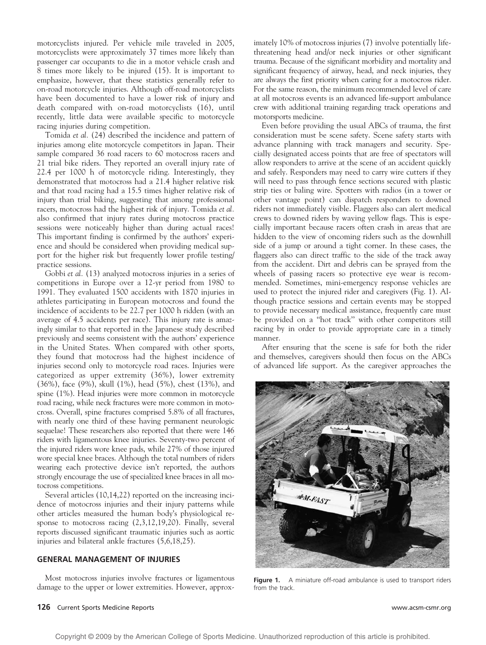motorcyclists injured. Per vehicle mile traveled in 2005, motorcyclists were approximately 37 times more likely than passenger car occupants to die in a motor vehicle crash and 8 times more likely to be injured (15). It is important to emphasize, however, that these statistics generally refer to on-road motorcycle injuries. Although off-road motorcyclists have been documented to have a lower risk of injury and death compared with on-road motorcyclists (16), until recently, little data were available specific to motorcycle racing injuries during competition.

Tomida et al. (24) described the incidence and pattern of injuries among elite motorcycle competitors in Japan. Their sample compared 36 road racers to 60 motocross racers and 21 trial bike riders. They reported an overall injury rate of 22.4 per 1000 h of motorcycle riding. Interestingly, they demonstrated that motocross had a 21.4 higher relative risk and that road racing had a 15.5 times higher relative risk of injury than trial biking, suggesting that among professional racers, motocross had the highest risk of injury. Tomida et al. also confirmed that injury rates during motocross practice sessions were noticeably higher than during actual races! This important finding is confirmed by the authors' experience and should be considered when providing medical support for the higher risk but frequently lower profile testing/ practice sessions.

Gobbi et al. (13) analyzed motocross injuries in a series of competitions in Europe over a 12-yr period from 1980 to 1991. They evaluated 1500 accidents with 1870 injuries in athletes participating in European motocross and found the incidence of accidents to be 22.7 per 1000 h ridden (with an average of 4.5 accidents per race). This injury rate is amazingly similar to that reported in the Japanese study described previously and seems consistent with the authors' experience in the United States. When compared with other sports, they found that motocross had the highest incidence of injuries second only to motorcycle road races. Injuries were categorized as upper extremity (36%), lower extremity (36%), face (9%), skull (1%), head (5%), chest (13%), and spine (1%). Head injuries were more common in motorcycle road racing, while neck fractures were more common in motocross. Overall, spine fractures comprised 5.8% of all fractures, with nearly one third of these having permanent neurologic sequelae! These researchers also reported that there were 146 riders with ligamentous knee injuries. Seventy-two percent of the injured riders wore knee pads, while 27% of those injured wore special knee braces. Although the total numbers of riders wearing each protective device isn't reported, the authors strongly encourage the use of specialized knee braces in all motocross competitions.

Several articles (10,14,22) reported on the increasing incidence of motocross injuries and their injury patterns while other articles measured the human body's physiological response to motocross racing (2,3,12,19,20). Finally, several reports discussed significant traumatic injuries such as aortic injuries and bilateral ankle fractures (5,6,18,25).

# GENERAL MANAGEMENT OF INJURIES

Most motocross injuries involve fractures or ligamentous damage to the upper or lower extremities. However, approx-

imately 10% of motocross injuries (7) involve potentially lifethreatening head and/or neck injuries or other significant trauma. Because of the significant morbidity and mortality and significant frequency of airway, head, and neck injuries, they are always the first priority when caring for a motocross rider. For the same reason, the minimum recommended level of care at all motocross events is an advanced life-support ambulance crew with additional training regarding track operations and motorsports medicine.

Even before providing the usual ABCs of trauma, the first consideration must be scene safety. Scene safety starts with advance planning with track managers and security. Specially designated access points that are free of spectators will allow responders to arrive at the scene of an accident quickly and safely. Responders may need to carry wire cutters if they will need to pass through fence sections secured with plastic strip ties or baling wire. Spotters with radios (in a tower or other vantage point) can dispatch responders to downed riders not immediately visible. Flaggers also can alert medical crews to downed riders by waving yellow flags. This is especially important because racers often crash in areas that are hidden to the view of oncoming riders such as the downhill side of a jump or around a tight corner. In these cases, the flaggers also can direct traffic to the side of the track away from the accident. Dirt and debris can be sprayed from the wheels of passing racers so protective eye wear is recommended. Sometimes, mini-emergency response vehicles are used to protect the injured rider and caregivers (Fig. 1). Although practice sessions and certain events may be stopped to provide necessary medical assistance, frequently care must be provided on a ''hot track'' with other competitors still racing by in order to provide appropriate care in a timely manner.

After ensuring that the scene is safe for both the rider and themselves, caregivers should then focus on the ABCs of advanced life support. As the caregiver approaches the



Figure 1. A miniature off-road ambulance is used to transport riders from the track.

### 126 Current Sports Medicine Reports www.acsm-csmr.org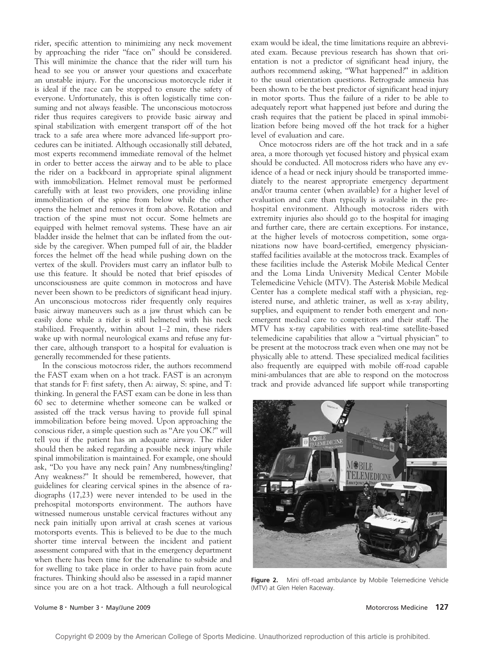rider, specific attention to minimizing any neck movement by approaching the rider ''face on'' should be considered. This will minimize the chance that the rider will turn his head to see you or answer your questions and exacerbate an unstable injury. For the unconscious motorcycle rider it is ideal if the race can be stopped to ensure the safety of everyone. Unfortunately, this is often logistically time consuming and not always feasible. The unconscious motocross rider thus requires caregivers to provide basic airway and spinal stabilization with emergent transport off of the hot track to a safe area where more advanced life-support procedures can be initiated. Although occasionally still debated, most experts recommend immediate removal of the helmet in order to better access the airway and to be able to place the rider on a backboard in appropriate spinal alignment with immobilization. Helmet removal must be performed carefully with at least two providers, one providing inline immobilization of the spine from below while the other opens the helmet and removes it from above. Rotation and traction of the spine must not occur. Some helmets are equipped with helmet removal systems. These have an air bladder inside the helmet that can be inflated from the outside by the caregiver. When pumped full of air, the bladder forces the helmet off the head while pushing down on the vertex of the skull. Providers must carry an inflator bulb to use this feature. It should be noted that brief episodes of unconsciousness are quite common in motocross and have never been shown to be predictors of significant head injury. An unconscious motocross rider frequently only requires basic airway maneuvers such as a jaw thrust which can be easily done while a rider is still helmeted with his neck stabilized. Frequently, within about  $1-2$  min, these riders wake up with normal neurological exams and refuse any further care, although transport to a hospital for evaluation is generally recommended for these patients.

In the conscious motocross rider, the authors recommend the FAST exam when on a hot track. FAST is an acronym that stands for F: first safety, then A: airway, S: spine, and T: thinking. In general the FAST exam can be done in less than 60 sec to determine whether someone can be walked or assisted off the track versus having to provide full spinal immobilization before being moved. Upon approaching the conscious rider, a simple question such as ''Are you OK?'' will tell you if the patient has an adequate airway. The rider should then be asked regarding a possible neck injury while spinal immobilization is maintained. For example, one should ask, ''Do you have any neck pain? Any numbness/tingling? Any weakness?'' It should be remembered, however, that guidelines for clearing cervical spines in the absence of radiographs (17,23) were never intended to be used in the prehospital motorsports environment. The authors have witnessed numerous unstable cervical fractures without any neck pain initially upon arrival at crash scenes at various motorsports events. This is believed to be due to the much shorter time interval between the incident and patient assessment compared with that in the emergency department when there has been time for the adrenaline to subside and for swelling to take place in order to have pain from acute fractures. Thinking should also be assessed in a rapid manner since you are on a hot track. Although a full neurological exam would be ideal, the time limitations require an abbreviated exam. Because previous research has shown that orientation is not a predictor of significant head injury, the authors recommend asking, ''What happened?'' in addition to the usual orientation questions. Retrograde amnesia has been shown to be the best predictor of significant head injury in motor sports. Thus the failure of a rider to be able to adequately report what happened just before and during the crash requires that the patient be placed in spinal immobilization before being moved off the hot track for a higher level of evaluation and care.

Once motocross riders are off the hot track and in a safe area, a more thorough yet focused history and physical exam should be conducted. All motocross riders who have any evidence of a head or neck injury should be transported immediately to the nearest appropriate emergency department and/or trauma center (when available) for a higher level of evaluation and care than typically is available in the prehospital environment. Although motocross riders with extremity injuries also should go to the hospital for imaging and further care, there are certain exceptions. For instance, at the higher levels of motocross competition, some organizations now have board-certified, emergency physicianstaffed facilities available at the motocross track. Examples of these facilities include the Asterisk Mobile Medical Center and the Loma Linda University Medical Center Mobile Telemedicine Vehicle (MTV). The Asterisk Mobile Medical Center has a complete medical staff with a physician, registered nurse, and athletic trainer, as well as x-ray ability, supplies, and equipment to render both emergent and nonemergent medical care to competitors and their staff. The MTV has x-ray capabilities with real-time satellite-based telemedicine capabilities that allow a ''virtual physician'' to be present at the motocross track even when one may not be physically able to attend. These specialized medical facilities also frequently are equipped with mobile off-road capable mini-ambulances that are able to respond on the motocross track and provide advanced life support while transporting



Figure 2. Mini off-road ambulance by Mobile Telemedicine Vehicle (MTV) at Glen Helen Raceway.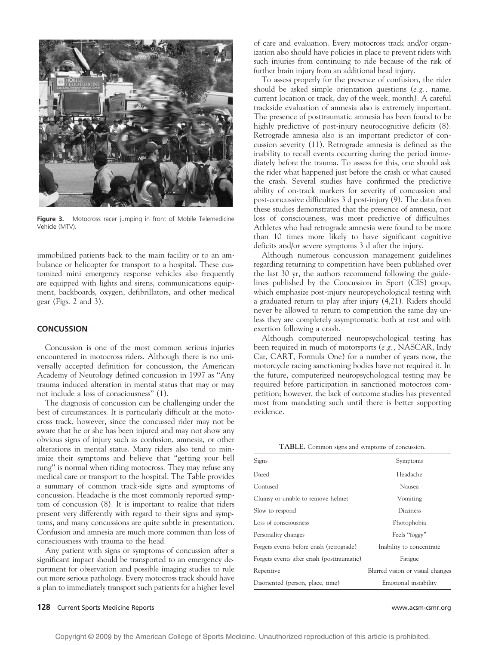

Figure 3. Motocross racer jumping in front of Mobile Telemedicine Vehicle (MTV).

immobilized patients back to the main facility or to an ambulance or helicopter for transport to a hospital. These customized mini emergency response vehicles also frequently are equipped with lights and sirens, communications equipment, backboards, oxygen, defibrillators, and other medical gear (Figs. 2 and 3).

# **CONCUSSION**

Concussion is one of the most common serious injuries encountered in motocross riders. Although there is no universally accepted definition for concussion, the American Academy of Neurology defined concussion in 1997 as ''Any trauma induced alteration in mental status that may or may not include a loss of consciousness'' (1).

The diagnosis of concussion can be challenging under the best of circumstances. It is particularly difficult at the motocross track, however, since the concussed rider may not be aware that he or she has been injured and may not show any obvious signs of injury such as confusion, amnesia, or other alterations in mental status. Many riders also tend to minimize their symptoms and believe that ''getting your bell rung'' is normal when riding motocross. They may refuse any medical care or transport to the hospital. The Table provides a summary of common track-side signs and symptoms of concussion. Headache is the most commonly reported symptom of concussion (8). It is important to realize that riders present very differently with regard to their signs and symptoms, and many concussions are quite subtle in presentation. Confusion and amnesia are much more common than loss of consciousness with trauma to the head.

Any patient with signs or symptoms of concussion after a significant impact should be transported to an emergency department for observation and possible imaging studies to rule out more serious pathology. Every motocross track should have a plan to immediately transport such patients for a higher level of care and evaluation. Every motocross track and/or organization also should have policies in place to prevent riders with such injuries from continuing to ride because of the risk of further brain injury from an additional head injury.

To assess properly for the presence of confusion, the rider should be asked simple orientation questions (e.g., name, current location or track, day of the week, month). A careful trackside evaluation of amnesia also is extremely important. The presence of posttraumatic amnesia has been found to be highly predictive of post-injury neurocognitive deficits (8). Retrograde amnesia also is an important predictor of concussion severity (11). Retrograde amnesia is defined as the inability to recall events occurring during the period immediately before the trauma. To assess for this, one should ask the rider what happened just before the crash or what caused the crash. Several studies have confirmed the predictive ability of on-track markers for severity of concussion and post-concussive difficulties 3 d post-injury (9). The data from these studies demonstrated that the presence of amnesia, not loss of consciousness, was most predictive of difficulties. Athletes who had retrograde amnesia were found to be more than 10 times more likely to have significant cognitive deficits and/or severe symptoms 3 d after the injury.

Although numerous concussion management guidelines regarding returning to competition have been published over the last 30 yr, the authors recommend following the guidelines published by the Concussion in Sport (CIS) group, which emphasize post-injury neuropsychological testing with a graduated return to play after injury (4,21). Riders should never be allowed to return to competition the same day unless they are completely asymptomatic both at rest and with exertion following a crash.

Although computerized neuropsychological testing has been required in much of motorsports (e.g., NASCAR, Indy Car, CART, Formula One) for a number of years now, the motorcycle racing sanctioning bodies have not required it. In the future, computerized neuropsychological testing may be required before participation in sanctioned motocross competition; however, the lack of outcome studies has prevented most from mandating such until there is better supporting evidence.

TABLE. Common signs and symptoms of concussion.

| Signs                                      | Symptoms                         |
|--------------------------------------------|----------------------------------|
| Dazed                                      | Headache                         |
| Confused                                   | Nausea                           |
| Clumsy or unable to remove helmet          | Vomiting                         |
| Slow to respond                            | Dizziness                        |
| Loss of consciousness                      | Photophobia                      |
| Personality changes                        | Feels "foggy"                    |
| Forgets events before crash (retrograde)   | Inability to concentrate         |
| Forgets events after crash (posttraumatic) | Fatigue                          |
| Repetitive                                 | Blurred vision or visual changes |
| Disoriented (person, place, time)          | Emotional instability            |

### 128 Current Sports Medicine Reports www.acsm-csmr.org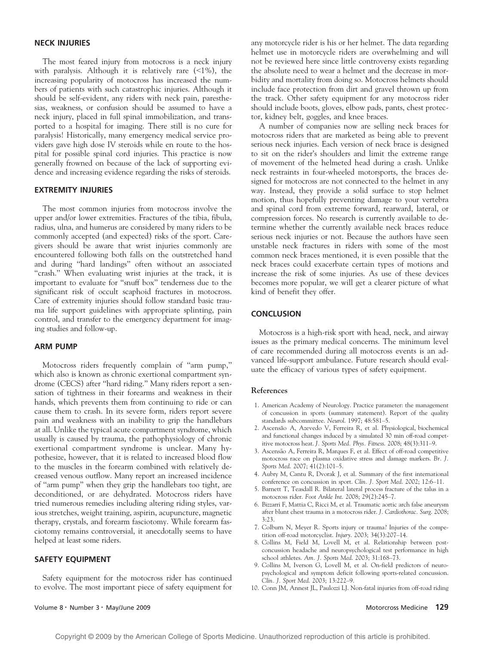# NECK INJURIES

The most feared injury from motocross is a neck injury with paralysis. Although it is relatively rare  $(1\%)$ , the increasing popularity of motocross has increased the numbers of patients with such catastrophic injuries. Although it should be self-evident, any riders with neck pain, paresthesias, weakness, or confusion should be assumed to have a neck injury, placed in full spinal immobilization, and transported to a hospital for imaging. There still is no cure for paralysis! Historically, many emergency medical service providers gave high dose IV steroids while en route to the hospital for possible spinal cord injuries. This practice is now generally frowned on because of the lack of supporting evidence and increasing evidence regarding the risks of steroids.

### EXTREMITY INJURIES

The most common injuries from motocross involve the upper and/or lower extremities. Fractures of the tibia, fibula, radius, ulna, and humerus are considered by many riders to be commonly accepted (and expected) risks of the sport. Caregivers should be aware that wrist injuries commonly are encountered following both falls on the outstretched hand and during ''hard landings'' often without an associated "crash." When evaluating wrist injuries at the track, it is important to evaluate for ''snuff box'' tenderness due to the significant risk of occult scaphoid fractures in motocross. Care of extremity injuries should follow standard basic trauma life support guidelines with appropriate splinting, pain control, and transfer to the emergency department for imaging studies and follow-up.

# ARM PUMP

Motocross riders frequently complain of ''arm pump,'' which also is known as chronic exertional compartment syndrome (CECS) after ''hard riding.'' Many riders report a sensation of tightness in their forearms and weakness in their hands, which prevents them from continuing to ride or can cause them to crash. In its severe form, riders report severe pain and weakness with an inability to grip the handlebars at all. Unlike the typical acute compartment syndrome, which usually is caused by trauma, the pathophysiology of chronic exertional compartment syndrome is unclear. Many hypothesize, however, that it is related to increased blood flow to the muscles in the forearm combined with relatively decreased venous outflow. Many report an increased incidence of ''arm pump'' when they grip the handlebars too tight, are deconditioned, or are dehydrated. Motocross riders have tried numerous remedies including altering riding styles, various stretches, weight training, aspirin, acupuncture, magnetic therapy, crystals, and forearm fasciotomy. While forearm fasciotomy remains controversial, it anecdotally seems to have helped at least some riders.

# SAFETY EQUIPMENT

Safety equipment for the motocross rider has continued to evolve. The most important piece of safety equipment for any motorcycle rider is his or her helmet. The data regarding helmet use in motorcycle riders are overwhelming and will not be reviewed here since little controversy exists regarding the absolute need to wear a helmet and the decrease in morbidity and mortality from doing so. Motocross helmets should include face protection from dirt and gravel thrown up from the track. Other safety equipment for any motocross rider should include boots, gloves, elbow pads, pants, chest protector, kidney belt, goggles, and knee braces.

A number of companies now are selling neck braces for motocross riders that are marketed as being able to prevent serious neck injuries. Each version of neck brace is designed to sit on the rider's shoulders and limit the extreme range of movement of the helmeted head during a crash. Unlike neck restraints in four-wheeled motorsports, the braces designed for motocross are not connected to the helmet in any way. Instead, they provide a solid surface to stop helmet motion, thus hopefully preventing damage to your vertebra and spinal cord from extreme forward, rearward, lateral, or compression forces. No research is currently available to determine whether the currently available neck braces reduce serious neck injuries or not. Because the authors have seen unstable neck fractures in riders with some of the most common neck braces mentioned, it is even possible that the neck braces could exacerbate certain types of motions and increase the risk of some injuries. As use of these devices becomes more popular, we will get a clearer picture of what kind of benefit they offer.

### **CONCLUSION**

Motocross is a high-risk sport with head, neck, and airway issues as the primary medical concerns. The minimum level of care recommended during all motocross events is an advanced life-support ambulance. Future research should evaluate the efficacy of various types of safety equipment.

# References

- 1. American Academy of Neurology. Practice parameter: the management of concussion in sports (summary statement). Report of the quality standards subcommittee. Neurol. 1997; 48:581-5.
- 2. Ascensão A, Azevedo V, Ferreira R, et al. Physiological, biochemical and functional changes induced by a simulated 30 min off-road competitive motocross heat. J. Sports Med. Phys. Fitness. 2008; 48(3):311-9.
- 3. Ascensão A, Ferreira R, Marques F, et al. Effect of off-road competitive motocross race on plasma oxidative stress and damage markers. Br. J. Sports Med. 2007; 41(2):101-5.
- 4. Aubry M, Cantu R, Dvorak J, et al. Summary of the first international conference on concussion in sport. Clin. J. Sport Med. 2002; 12:6-11.
- 5. Barnett T, Teasdall R. Bilateral lateral process fracture of the talus in a motocross rider. Foot Ankle Int. 2008; 29(2):245-7.
- 6. Bizzarri F, Mattia C, Ricci M, et al. Traumatic aortic arch false aneurysm after blunt chest trauma in a motocross rider. J. Cardiothorac. Surg. 2008; 3:23.
- 7. Colburn N, Meyer R. Sports injury or trauma? Injuries of the competition off-road motorcyclist. Injury. 2003;  $34(3):207-14$ .
- 8. Collins M, Field M, Lovell M, et al. Relationship between postconcussion headache and neuropsychological test performance in high school athletes. Am. J. Sports Med. 2003; 31:168-73.
- 9. Collins M, Iverson G, Lovell M, et al. On-field predictors of neuropsychological and symptom deficit following sports-related concussion. Clin. J. Sport Med. 2003; 13:222-9.
- 10. Conn JM, Annest JL, Paulozzi LJ. Non-fatal injuries from off-road riding

Volume 8 • Number 3 • May/June 2009 Motorcross Medicine 129